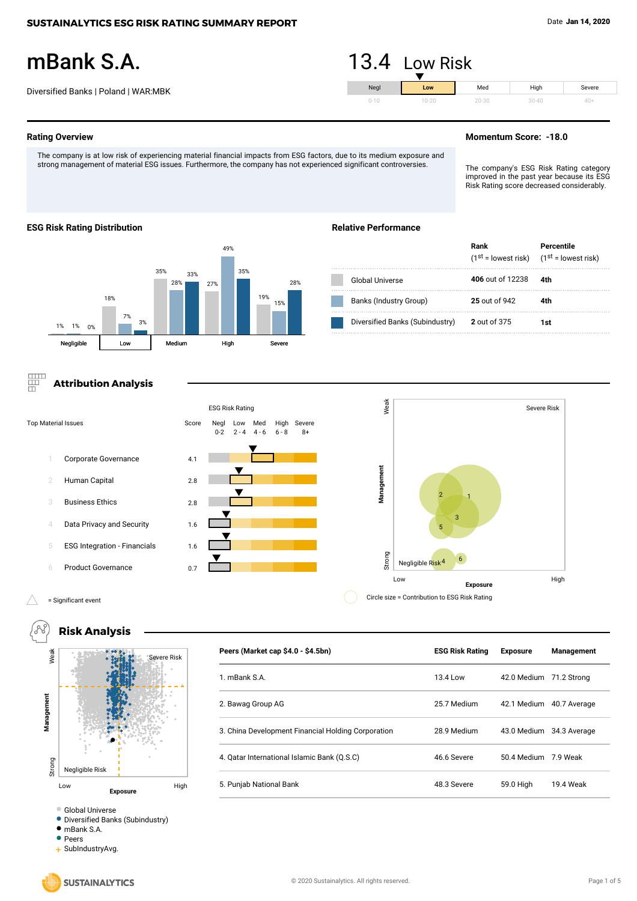Severe 40+

# mBank S.A.

Diversified Banks | Poland | WAR:MBK

### **Rating Overview**

The company is at low risk of experiencing material financial impacts from ESG factors, due to its medium exposure and strong management of material ESG issues. Furthermore, the company has not experienced significant controversies.

### **Momentum Score: -18.0**

Med 20-30

The company's ESG Risk Rating category improved in the past year because its ESG Risk Rating score decreased considerably.

Severe Risk

High 30-40

#### **ESG Risk Rating Distribution**



# **Relative Performance**

Neg 0-10

13.4 Low Risk

**Low**  $10-20$ 

|                                 | Rank<br>$(1st = lowest risk)$ $(1st = lowest risk)$ | Percentile |
|---------------------------------|-----------------------------------------------------|------------|
| Global Universe                 | 406 out of 12238                                    | 4th        |
| Banks (Industry Group)          | 25 out of 942                                       | 4th        |
| Diversified Banks (Subindustry) | 2 out of 375                                        | 1st        |

# **Attribution Analysis**



#### ∧ = Significant event



Diversified Banks (Subindustry)

mBank S.A.

• Peers

+ SubIndustryAvg.

**Peers (Market cap \$4.0 - \$4.5bn) ESG Risk Rating Exposure Management**

1. mBank S.A. 13.4 Low 42.0 Medium 71.2 Strong

2. Bawag Group AG 25.7 Medium 42.1 Medium 40.7 Average

3. China Development Financial Holding Corporation 28.9 Medium 43.0 Medium 34.3 Average

4. Qatar International Islamic Bank (Q.S.C) 46.6 Severe 50.4 Medium 7.9 Weak

5. Punjab National Bank 48.3 Severe 59.0 High 19.4 Weak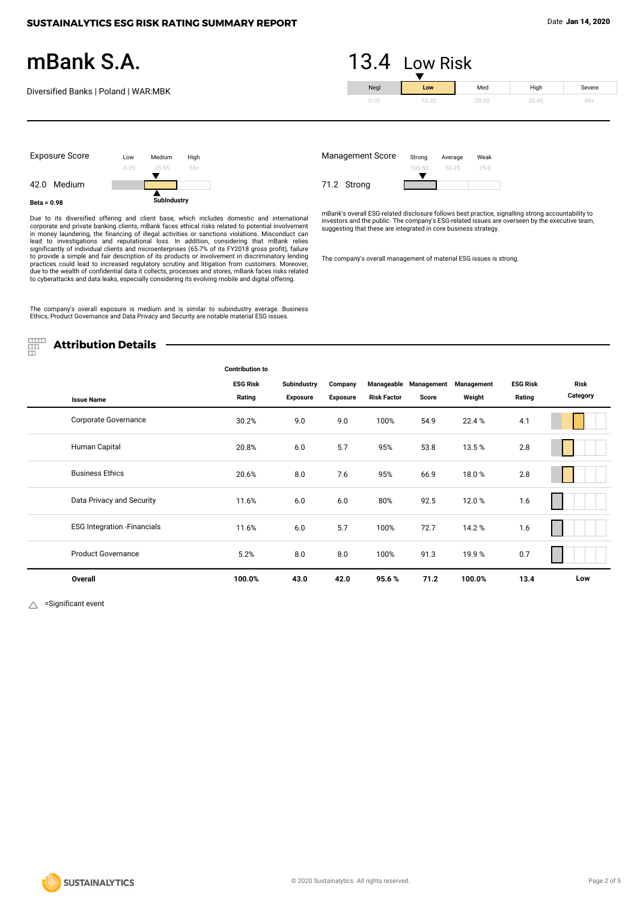40+

# mBank S.A.

Diversified Banks | Poland | WAR:MBK



20-30

30-40



Due to its diversified offering and client base, which includes domestic and international corporate and private banking clients, mBank faces ethical risks related to potential involvement<br>in money laundering, the financin practices could lead to increased regulatory scrutiny and litigation from customers. Moreover, due to the wealth of confidential data it collects, processes and stores, mBank faces risks related to cyberattacks and data leaks, especially considering its evolving mobile and digital offering.

The company's overall exposure is medium and is similar to subindustry average. Business Ethics, Product Governance and Data Privacy and Security are notable material ESG issues.

Management Score 71.2 Strong Weak 25-0 Average 50-25 Strong

0-10

mBank's overall ESG-related disclosure follows best practice, signalling strong accountability to investors and the public. The company's ESG-related issues are overseen by the executive team, suggesting that these are integrated in core business strategy.

The company's overall management of material ESG issues is strong.

罡 **Attribution Details**

|                                     | <b>Contribution to</b> |                    |                 |                    |                       |            |                 |          |
|-------------------------------------|------------------------|--------------------|-----------------|--------------------|-----------------------|------------|-----------------|----------|
|                                     | <b>ESG Risk</b>        | <b>Subindustry</b> | Company         |                    | Manageable Management | Management | <b>ESG Risk</b> | Risk     |
| <b>Issue Name</b>                   | Rating                 | <b>Exposure</b>    | <b>Exposure</b> | <b>Risk Factor</b> | Score                 | Weight     | Rating          | Category |
| Corporate Governance                | 30.2%                  | 9.0                | 9.0             | 100%               | 54.9                  | 22.4%      | 4.1             |          |
| Human Capital                       | 20.8%                  | 6.0                | 5.7             | 95%                | 53.8                  | 13.5%      | 2.8             |          |
| <b>Business Ethics</b>              | 20.6%                  | 8.0                | 7.6             | 95%                | 66.9                  | 18.0%      | 2.8             |          |
| Data Privacy and Security           | 11.6%                  | 6.0                | 6.0             | 80%                | 92.5                  | 12.0%      | 1.6             |          |
| <b>ESG Integration - Financials</b> | 11.6%                  | 6.0                | 5.7             | 100%               | 72.7                  | 14.2%      | 1.6             |          |
| <b>Product Governance</b>           | 5.2%                   | 8.0                | 8.0             | 100%               | 91.3                  | 19.9%      | 0.7             |          |
| Overall                             | 100.0%                 | 43.0               | 42.0            | 95.6%              | 71.2                  | 100.0%     | 13.4            | Low      |

 =Significant event  $\wedge$ 

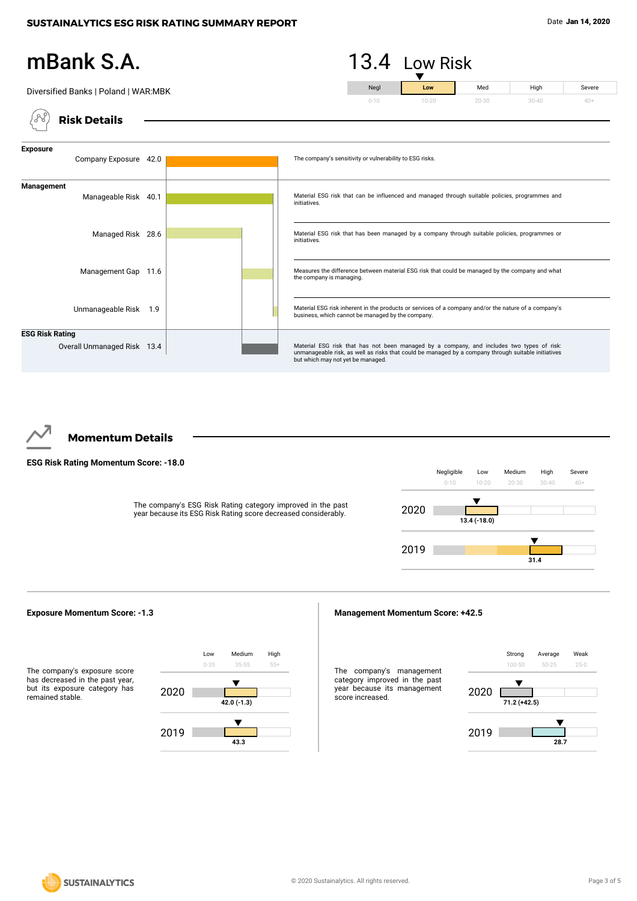#### mBank S.A.  $13.4$  Low Risk Med High Neg Severe Diversified Banks | Poland | WAR:MBK **Low** 20-30 30-40 40+ 0-10 'A **Risk Details Exposure** Company Exposure 42.0 The company's sensitivity or vulnerability to ESG risks. **Management**





# **Momentum Details**

### **ESG Risk Rating Momentum Score: -18.0**

The company's ESG Risk Rating category improved in the past year because its ESG Risk Rating score decreased considerably.





#### **Management Momentum Score: +42.5**

The company's management category improved in the past year because its management score increased.



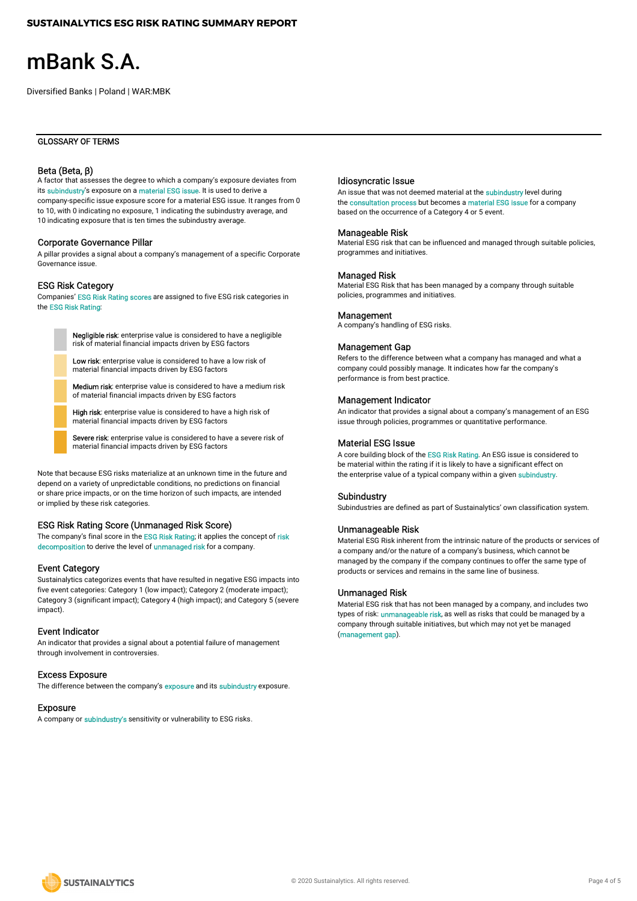# mBank S.A. ŕ

Diversified Banks | Poland | WAR:MBK

#### GLOSSARY OF TERMS

#### Beta (Beta, β)

A factor that assesses the degree to which a company's exposure deviates from its subindustry's exposure on a material ESG issue. It is used to derive a company-specific issue exposure score for a material ESG issue. It ranges from 0 to 10, with 0 indicating no exposure, 1 indicating the subindustry average, and 10 indicating exposure that is ten times the subindustry average.

#### Corporate Governance Pillar

A pillar provides a signal about a company's management of a specific Corporate Governance issue.

#### ESG Risk Category

Companies' ESG Risk Rating scores are assigned to five ESG risk categories in the ESG Risk Rating:

> Negligible risk: enterprise value is considered to have a negligible risk of material financial impacts driven by ESG factors

Low risk: enterprise value is considered to have a low risk of material financial impacts driven by ESG factors

Medium risk: enterprise value is considered to have a medium risk of material financial impacts driven by ESG factors

High risk: enterprise value is considered to have a high risk of material financial impacts driven by ESG factors

Severe risk: enterprise value is considered to have a severe risk of material financial impacts driven by ESG factors

Note that because ESG risks materialize at an unknown time in the future and depend on a variety of unpredictable conditions, no predictions on financial or share price impacts, or on the time horizon of such impacts, are intended or implied by these risk categories.

#### ESG Risk Rating Score (Unmanaged Risk Score)

The company's final score in the ESG Risk Rating; it applies the concept of risk decomposition to derive the level of unmanaged risk for a company.

#### Event Category

Sustainalytics categorizes events that have resulted in negative ESG impacts into five event categories: Category 1 (low impact); Category 2 (moderate impact); Category 3 (significant impact); Category 4 (high impact); and Category 5 (severe impact).

#### Event Indicator

An indicator that provides a signal about a potential failure of management through involvement in controversies.

#### Excess Exposure

The difference between the company's **exposure** and its **subindustry** exposure.

#### Exposure

A company or subindustry's sensitivity or vulnerability to ESG risks.

#### Idiosyncratic Issue

An issue that was not deemed material at the subindustry level during the consultation process but becomes a material ESG issue for a company based on the occurrence of a Category 4 or 5 event.

#### Manageable Risk

Material ESG risk that can be influenced and managed through suitable policies, programmes and initiatives.

#### Managed Risk

Material ESG Risk that has been managed by a company through suitable policies, programmes and initiatives.

#### **Management**

A company's handling of ESG risks.

#### Management Gap

Refers to the difference between what a company has managed and what a company could possibly manage. It indicates how far the company's performance is from best practice.

#### Management Indicator

An indicator that provides a signal about a company's management of an ESG issue through policies, programmes or quantitative performance.

#### Material ESG Issue

A core building block of the ESG Risk Rating. An ESG issue is considered to be material within the rating if it is likely to have a significant effect on the enterprise value of a typical company within a given subindustry.

#### Subindustry

Subindustries are defined as part of Sustainalytics' own classification system.

### Unmanageable Risk

Material ESG Risk inherent from the intrinsic nature of the products or services of a company and/or the nature of a company's business, which cannot be managed by the company if the company continues to offer the same type of products or services and remains in the same line of business.

#### Unmanaged Risk

Material ESG risk that has not been managed by a company, and includes two types of risk: *unmanageable risk*, as well as risks that could be managed by a company through suitable initiatives, but which may not yet be managed (management gap).